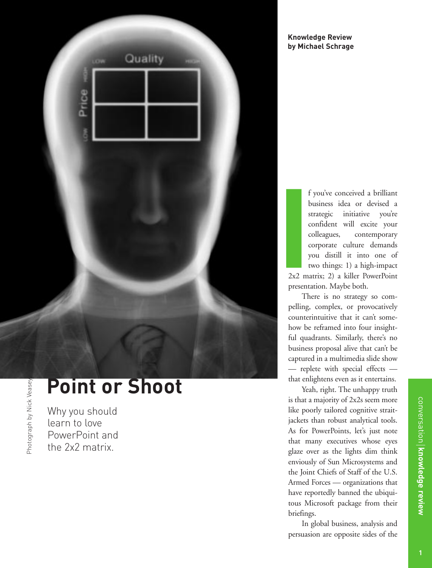

#### **Knowledge Review by Michael Schrage**

f you've conceived a brilliant business idea or devised a strategic initiative you're confident will excite your colleagues, contemporary corporate culture demands you distill it into one of two things: 1) a high-impact 2x2 matrix; 2) a killer PowerPoint presentation. Maybe both. F<br>
I<br>
I<br>
I<br>
I<br>
2x2 ma<br>
Presents

There is no strategy so compelling, complex, or provocatively counterintuitive that it can't somehow be reframed into four insightful quadrants. Similarly, there's no business proposal alive that can't be captured in a multimedia slide show — replete with special effects that enlightens even as it entertains.

Yeah, right. The unhappy truth is that a majority of 2x2s seem more like poorly tailored cognitive straitjackets than robust analytical tools. As for PowerPoints, let's just note that many executives whose eyes glaze over as the lights dim think enviously of Sun Microsystems and the Joint Chiefs of Staff of the U.S. Armed Forces — organizations that have reportedly banned the ubiquitous Microsoft package from their briefings.

In global business, analysis and persuasion are opposite sides of the

# **Point or Shoot**

Why you should learn to love PowerPoint and the 2x2 matrix.

**knowledge review**

conversation **| knowledge review** 

conversation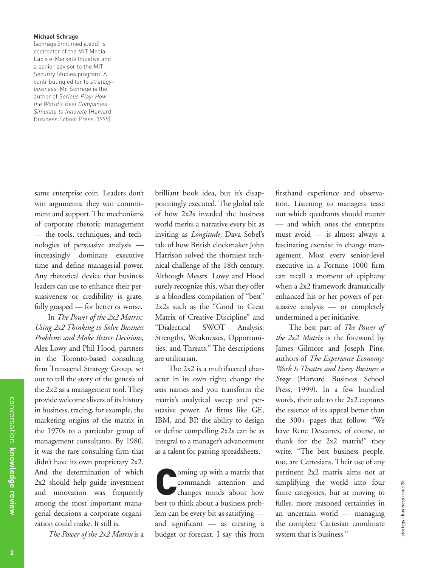#### **Michael Schrage**

(schrage@mit.media.edu) is codirector of the MIT Media Lab's e-Markets Initiative and a senior advisor to the MIT Security Studies program. A contributing editor to *strategy+ business,* Mr. Schrage is the author of *Serious Play: How the World's Best Companies Simulate to Innovate* (Harvard Business School Press, 1999).

same enterprise coin. Leaders don't win arguments; they win commitment and support. The mechanisms of corporate rhetoric management — the tools, techniques, and technologies of persuasive analysis increasingly dominate executive time and define managerial power. Any rhetorical device that business leaders can use to enhance their persuasiveness or credibility is gratefully grasped — for better or worse.

In *The Power of the 2x2 Matrix: Using 2x2 Thinking to Solve Business Problems and Make Better Decisions,* Alex Lowy and Phil Hood, partners in the Toronto-based consulting firm Transcend Strategy Group, set out to tell the story of the genesis of the 2x2 as a management tool. They provide welcome slivers of its history in business, tracing, for example, the marketing origins of the matrix in the 1970s to a particular group of management consultants. By 1980, it was the rare consulting firm that didn't have its own proprietary 2x2. And the determination of which 2x2 should help guide investment and innovation was frequently among the most important managerial decisions a corporate organization could make. It still is.

*The Power of the 2x2 Matrix* is a

brilliant book idea, but it's disappointingly executed. The global tale of how 2x2s invaded the business world merits a narrative every bit as inviting as *Longitude,* Dava Sobel's tale of how British clockmaker John Harrison solved the thorniest technical challenge of the 18th century. Although Messrs. Lowy and Hood surely recognize this, what they offer is a bloodless compilation of "best" 2x2s such as the "Good to Great Matrix of Creative Discipline" and "Dialectical SWOT Analysis: Strengths, Weaknesses, Opportunities, and Threats." The descriptions are utilitarian.

The 2x2 is a multifaceted character in its own right; change the axis names and you transform the matrix's analytical sweep and persuasive power. At firms like GE, IBM, and BP, the ability to design or define compelling 2x2s can be as integral to a manager's advancement as a talent for parsing spreadsheets.

commands attention and<br>
changes minds about how commands attention and best to think about a business problem can be every bit as satisfying and significant — as creating a budget or forecast. I say this from firsthand experience and observation. Listening to managers tease out which quadrants should matter — and which ones the enterprise must avoid — is almost always a fascinating exercise in change management. Most every senior-level executive in a Fortune 1000 firm can recall a moment of epiphany when a 2x2 framework dramatically enhanced his or her powers of persuasive analysis — or completely undermined a pet initiative.

The best part of *The Power of the 2x2 Matrix* is the foreword by James Gilmore and Joseph Pine, authors of *The Experience Economy: Work Is Theatre and Every Business a Stage* (Harvard Business School Press, 1999). In a few hundred words, their ode to the 2x2 captures the essence of its appeal better than the 300+ pages that follow. "We have Rene Descartes, of course, to thank for the 2x2 matrix!" they write. "The best business people, too, are Cartesians. Their use of any pertinent 2x2 matrix aims not at simplifying the world into four finite categories, but at moving to fuller, more reasoned certainties in an uncertain world — managing the complete Cartesian coordinate system that is business."

strategy + business issue 38

strategy+business issue 38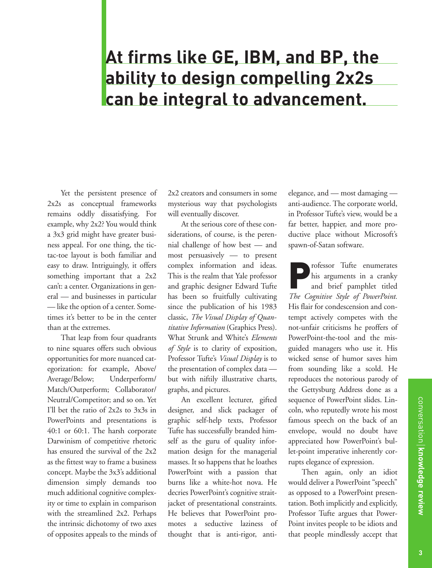## **At firms like GE, IBM, and BP, the ability to design compelling 2x2s can be integral to advancement.**

Yet the persistent presence of 2x2s as conceptual frameworks remains oddly dissatisfying. For example, why 2x2? You would think a 3x3 grid might have greater business appeal. For one thing, the tictac-toe layout is both familiar and easy to draw. Intriguingly, it offers something important that a 2x2 can't: a center. Organizations in general — and businesses in particular — like the option of a center. Sometimes it's better to be in the center than at the extremes.

That leap from four quadrants to nine squares offers such obvious opportunities for more nuanced categorization: for example, Above/ Average/Below; Underperform/ Match/Outperform; Collaborator/ Neutral/Competitor; and so on. Yet I'll bet the ratio of 2x2s to 3x3s in PowerPoints and presentations is 40:1 or 60:1. The harsh corporate Darwinism of competitive rhetoric has ensured the survival of the 2x2 as the fittest way to frame a business concept. Maybe the 3x3's additional dimension simply demands too much additional cognitive complexity or time to explain in comparison with the streamlined 2x2. Perhaps the intrinsic dichotomy of two axes of opposites appeals to the minds of 2x2 creators and consumers in some mysterious way that psychologists will eventually discover.

At the serious core of these considerations, of course, is the perennial challenge of how best — and most persuasively — to present complex information and ideas. This is the realm that Yale professor and graphic designer Edward Tufte has been so fruitfully cultivating since the publication of his 1983 classic, *The Visual Display of Quantitative Information* (Graphics Press). What Strunk and White's *Elements of Style* is to clarity of exposition, Professor Tufte's *Visual Display* is to the presentation of complex data but with niftily illustrative charts, graphs, and pictures.

An excellent lecturer, gifted designer, and slick packager of graphic self-help texts, Professor Tufte has successfully branded himself as the guru of quality information design for the managerial masses. It so happens that he loathes PowerPoint with a passion that burns like a white-hot nova. He decries PowerPoint's cognitive straitjacket of presentational constraints. He believes that PowerPoint promotes a seductive laziness of thought that is anti-rigor, antielegance, and — most damaging anti-audience. The corporate world, in Professor Tufte's view, would be a far better, happier, and more productive place without Microsoft's spawn-of-Satan software.

Professor Tufte enumerates<br>his arguments in a cranky<br>and brief pamphlet titled<br> $T_{12}$  Compting Subset of Bang British his arguments in a cranky and brief pamphlet titled *The Cognitive Style of PowerPoint.* His flair for condescension and contempt actively competes with the not-unfair criticisms he proffers of PowerPoint-the-tool and the misguided managers who use it. His wicked sense of humor saves him from sounding like a scold. He reproduces the notorious parody of the Gettysburg Address done as a sequence of PowerPoint slides. Lincoln, who reputedly wrote his most famous speech on the back of an envelope, would no doubt have appreciated how PowerPoint's bullet-point imperative inherently corrupts elegance of expression.

Then again, only an idiot would deliver a PowerPoint "speech" as opposed to a PowerPoint presentation. Both implicitly and explicitly, Professor Tufte argues that Power-Point invites people to be idiots and that people mindlessly accept that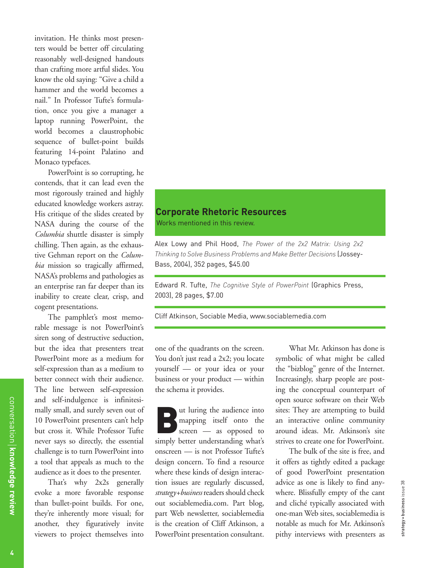invitation. He thinks most presenters would be better off circulating reasonably well-designed handouts than crafting more artful slides. You know the old saying: "Give a child a hammer and the world becomes a nail." In Professor Tufte's formulation, once you give a manager a laptop running PowerPoint, the world becomes a claustrophobic sequence of bullet-point builds featuring 14-point Palatino and Monaco typefaces.

PowerPoint is so corrupting, he contends, that it can lead even the most rigorously trained and highly educated knowledge workers astray. His critique of the slides created by NASA during the course of the *Columbia* shuttle disaster is simply chilling. Then again, as the exhaustive Gehman report on the *Columbia* mission so tragically affirmed, NASA's problems and pathologies as an enterprise ran far deeper than its inability to create clear, crisp, and cogent presentations.

The pamphlet's most memorable message is not PowerPoint's siren song of destructive seduction, but the idea that presenters treat PowerPoint more as a medium for self-expression than as a medium to better connect with their audience. The line between self-expression and self-indulgence is infinitesimally small, and surely seven out of 10 PowerPoint presenters can't help but cross it. While Professor Tufte never says so directly, the essential challenge is to turn PowerPoint into a tool that appeals as much to the audience as it does to the presenter.

That's why 2x2s generally evoke a more favorable response than bullet-point builds. For one, they're inherently more visual; for another, they figuratively invite viewers to project themselves into

### **Corporate Rhetoric Resources**

Works mentioned in this review.

Alex Lowy and Phil Hood, *The Power of the 2x2 Matrix: Using 2x2 Thinking to Solve Business Problems and Make Better Decisions* (Jossey-Bass, 2004), 352 pages, \$45.00

Edward R. Tufte, *The Cognitive Style of PowerPoint* (Graphics Press, 2003), 28 pages, \$7.00

Cliff Atkinson, Sociable Media, www.sociablemedia.com

one of the quadrants on the screen. You don't just read a 2x2; you locate yourself — or your idea or your business or your product — within the schema it provides.

But luring the audience into<br>
screen — as opposed to mapping itself onto the simply better understanding what's onscreen — is not Professor Tufte's design concern. To find a resource where these kinds of design interaction issues are regularly discussed, *strategy+business* readers should check out sociablemedia.com. Part blog, part Web newsletter, sociablemedia is the creation of Cliff Atkinson, a PowerPoint presentation consultant.

What Mr. Atkinson has done is symbolic of what might be called the "bizblog" genre of the Internet. Increasingly, sharp people are posting the conceptual counterpart of open source software on their Web sites: They are attempting to build an interactive online community around ideas. Mr. Atkinson's site strives to create one for PowerPoint.

The bulk of the site is free, and it offers as tightly edited a package of good PowerPoint presentation advice as one is likely to find anywhere. Blissfully empty of the cant and cliché typically associated with one-man Web sites, sociablemedia is notable as much for Mr. Atkinson's pithy interviews with presenters as

strategy + business issue 38

strategy+business issue 38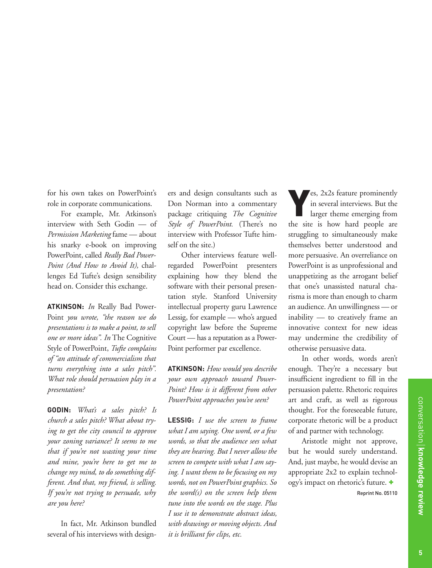for his own takes on PowerPoint's role in corporate communications.

For example, Mr. Atkinson's interview with Seth Godin — of *Permission Marketing* fame — about his snarky e-book on improving PowerPoint, called *Really Bad Power-Point (And How to Avoid It),* challenges Ed Tufte's design sensibility head on. Consider this exchange.

**ATKINSON:** *In* Really Bad Power-Point *you wrote, "the reason we do presentations is to make a point, to sell one or more ideas". In* The Cognitive Style of PowerPoint, *Tufte complains of "an attitude of commercialism that turns everything into a sales pitch". What role should persuasion play in a presentation?*

**GODIN:** *What's a sales pitch? Is church a sales pitch? What about trying to get the city council to approve your zoning variance? It seems to me that if you're not wasting your time and mine, you're here to get me to change my mind, to do something different. And that, my friend, is selling. If you're not trying to persuade, why are you here?*

In fact, Mr. Atkinson bundled several of his interviews with designers and design consultants such as Don Norman into a commentary package critiquing *The Cognitive Style of PowerPoint.* (There's no interview with Professor Tufte himself on the site.)

Other interviews feature wellregarded PowerPoint presenters explaining how they blend the software with their personal presentation style. Stanford University intellectual property guru Lawrence Lessig, for example — who's argued copyright law before the Supreme Court — has a reputation as a Power-Point performer par excellence.

**ATKINSON:** *How would you describe your own approach toward Power-Point? How is it different from other PowerPoint approaches you've seen?*

**LESSIG:** *I use the screen to frame what I am saying. One word, or a few words, so that the audience sees what they are hearing. But I never allow the screen to compete with what I am saying. I want them to be focusing on my words, not on PowerPoint graphics. So the word(s) on the screen help them tune into the words on the stage. Plus I use it to demonstrate abstract ideas, with drawings or moving objects. And it is brilliant for clips, etc.*

 $\epsilon$ s, 2x2s feature prominently in several interviews. But the larger theme emerging from the site is how hard people are struggling to simultaneously make themselves better understood and more persuasive. An overreliance on PowerPoint is as unprofessional and unappetizing as the arrogant belief that one's unassisted natural charisma is more than enough to charm an audience. An unwillingness — or inability — to creatively frame an innovative context for new ideas may undermine the credibility of otherwise persuasive data.

In other words, words aren't enough. They're a necessary but insufficient ingredient to fill in the persuasion palette. Rhetoric requires art and craft, as well as rigorous thought. For the foreseeable future, corporate rhetoric will be a product of and partner with technology.

Aristotle might not approve, but he would surely understand. And, just maybe, he would devise an appropriate 2x2 to explain technology's impact on rhetoric's future. + Reprint No. 05110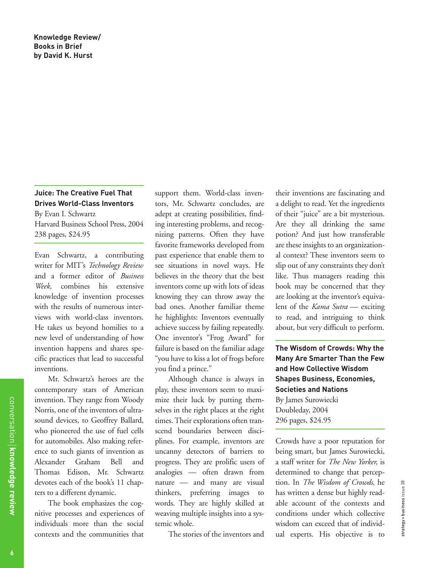#### **Juice: The Creative Fuel That Drives World-Class Inventors**

By Evan I. Schwartz

Harvard Business School Press, 2004 238 pages, \$24.95

Evan Schwartz, a contributing writer for MIT's *Technology Review* and a former editor of *Business Week,* combines his extensive knowledge of invention processes with the results of numerous interviews with world-class inventors. He takes us beyond homilies to a new level of understanding of how invention happens and shares specific practices that lead to successful inventions.

Mr. Schwartz's heroes are the contemporary stars of American invention. They range from Woody Norris, one of the inventors of ultrasound devices, to Geoffrey Ballard, who pioneered the use of fuel cells for automobiles. Also making reference to such giants of invention as Alexander Graham Bell and Thomas Edison, Mr. Schwartz devotes each of the book's 11 chapters to a different dynamic.

The book emphasizes the cognitive processes and experiences of individuals more than the social contexts and the communities that

support them. World-class inventors, Mr. Schwartz concludes, are adept at creating possibilities, finding interesting problems, and recognizing patterns. Often they have favorite frameworks developed from past experience that enable them to see situations in novel ways. He believes in the theory that the best inventors come up with lots of ideas knowing they can throw away the bad ones. Another familiar theme he highlights: Inventors eventually achieve success by failing repeatedly. One inventor's "Frog Award" for failure is based on the familiar adage "you have to kiss a lot of frogs before you find a prince."

Although chance is always in play, these inventors seem to maximize their luck by putting themselves in the right places at the right times. Their explorations often transcend boundaries between disciplines. For example, inventors are uncanny detectors of barriers to progress. They are prolific users of analogies — often drawn from nature — and many are visual thinkers, preferring images to words. They are highly skilled at weaving multiple insights into a systemic whole.

The stories of the inventors and

their inventions are fascinating and a delight to read. Yet the ingredients of their "juice" are a bit mysterious. Are they all drinking the same potion? And just how transferable are these insights to an organizational context? These inventors seem to slip out of any constraints they don't like. Thus managers reading this book may be concerned that they are looking at the inventor's equivalent of the *Kama Sutra* — exciting to read, and intriguing to think about, but very difficult to perform.

**The Wisdom of Crowds: Why the Many Are Smarter Than the Few and How Collective Wisdom Shapes Business, Economies, Societies and Nations**  By James Surowiecki Doubleday, 2004 296 pages, \$24.95

Crowds have a poor reputation for being smart, but James Surowiecki, a staff writer for *The New Yorker,* is determined to change that perception. In *The Wisdom of Crowds,* he has written a dense but highly readable account of the contexts and conditions under which collective wisdom can exceed that of individual experts. His objective is to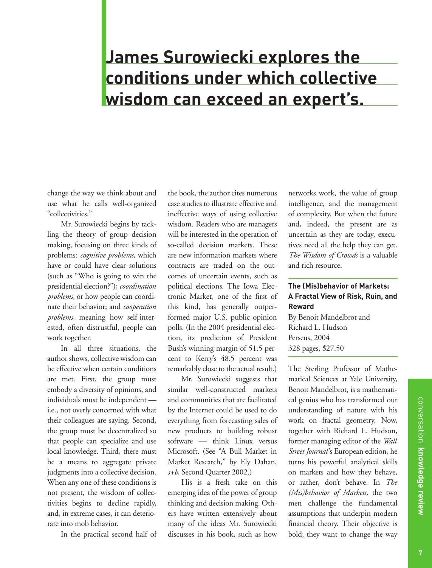## **James Surowiecki explores the conditions under which collective wisdom can exceed an expert's.**

change the way we think about and use what he calls well-organized "collectivities."

Mr. Surowiecki begins by tackling the theory of group decision making, focusing on three kinds of problems: *cognitive problems,* which have or could have clear solutions (such as "Who is going to win the presidential election?"); *coordination problems,* or how people can coordinate their behavior; and *cooperation problems,* meaning how self-interested, often distrustful, people can work together.

In all three situations, the author shows, collective wisdom can be effective when certain conditions are met. First, the group must embody a diversity of opinions, and individuals must be independent i.e., not overly concerned with what their colleagues are saying. Second, the group must be decentralized so that people can specialize and use local knowledge. Third, there must be a means to aggregate private judgments into a collective decision. When any one of these conditions is not present, the wisdom of collectivities begins to decline rapidly, and, in extreme cases, it can deteriorate into mob behavior.

In the practical second half of

the book, the author cites numerous case studies to illustrate effective and ineffective ways of using collective wisdom. Readers who are managers will be interested in the operation of so-called decision markets. These are new information markets where contracts are traded on the outcomes of uncertain events, such as political elections. The Iowa Electronic Market, one of the first of this kind, has generally outperformed major U.S. public opinion polls. (In the 2004 presidential election, its prediction of President Bush's winning margin of 51.5 percent to Kerry's 48.5 percent was remarkably close to the actual result.)

Mr. Surowiecki suggests that similar well-constructed markets and communities that are facilitated by the Internet could be used to do everything from forecasting sales of new products to building robust software — think Linux versus Microsoft. (See "A Bull Market in Market Research," by Ely Dahan, *s+b,* Second Quarter 2002.)

His is a fresh take on this emerging idea of the power of group thinking and decision making. Others have written extensively about many of the ideas Mr. Surowiecki discusses in his book, such as how

networks work, the value of group intelligence, and the management of complexity. But when the future and, indeed, the present are as uncertain as they are today, executives need all the help they can get. *The Wisdom of Crowds* is a valuable and rich resource.

#### **The (Mis)behavior of Markets: A Fractal View of Risk, Ruin, and Reward**

By Benoit Mandelbrot and Richard L. Hudson Perseus, 2004 328 pages, \$27.50

The Sterling Professor of Mathematical Sciences at Yale University, Benoit Mandelbrot, is a mathematical genius who has transformed our understanding of nature with his work on fractal geometry. Now, together with Richard L. Hudson, former managing editor of the *Wall Street Journal* 's European edition, he turns his powerful analytical skills on markets and how they behave, or rather, don't behave. In *The (Mis)behavior of Markets,* the two men challenge the fundamental assumptions that underpin modern financial theory. Their objective is bold; they want to change the way